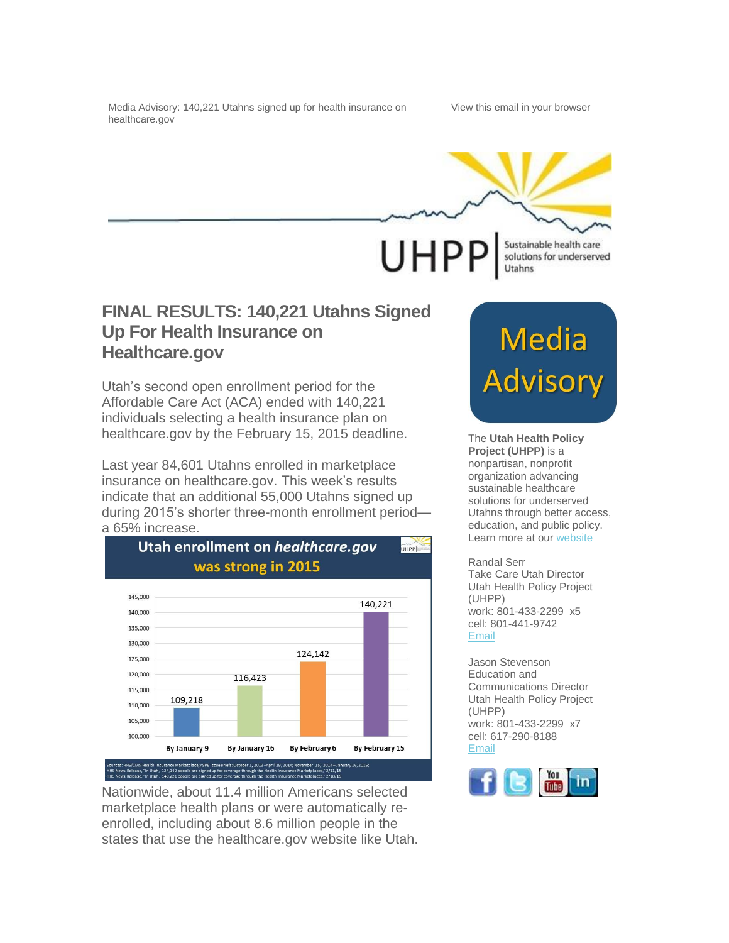Media Advisory: 140,221 Utahns signed up for health insurance on healthcare.gov

UHPP Sustainable health care solutions for underserved

Utahns

## **FINAL RESULTS: 140,221 Utahns Signed Up For Health Insurance on Healthcare.gov**

Utah's second open enrollment period for the Affordable Care Act (ACA) ended with 140,221 individuals selecting a health insurance plan on healthcare.gov by the February 15, 2015 deadline.

Last year 84,601 Utahns enrolled in marketplace insurance on healthcare.gov. This week's results indicate that an additional 55,000 Utahns signed up during 2015's shorter three-month enrollment period a 65% increase.



Nationwide, about 11.4 million Americans selected marketplace health plans or were automatically reenrolled, including about 8.6 million people in the states that use the healthcare.gov website like Utah.

## **Media Advisory**

The **Utah Health Policy Project (UHPP)** is a nonpartisan, nonprofit organization advancing sustainable healthcare solutions for underserved Utahns through better access, education, and public policy. Learn more at our [website](http://www.healthpolicyproject.org/)

Randal Serr

Take Care Utah Director Utah Health Policy Project (UHPP) work: 801-433-2299 x5 cell: 801-441-9742 [Email](mailto:randal@healthpolicyproject.org%20?subject=re%3A%20Media%20Advisory)

Jason Stevenson Education and Communications Director Utah Health Policy Project (UHPP) work: 801-433-2299 x7 cell: 617-290-8188 [Email](mailto:stevenson@healthpolicyproject.org?subject=re%3A%20Media%20Advisory)

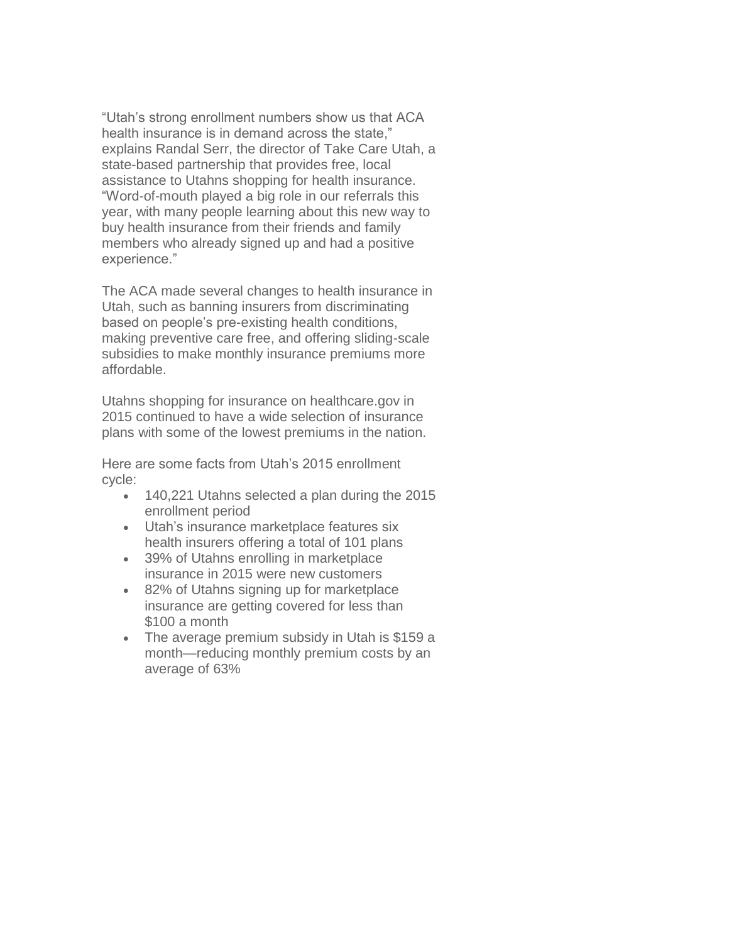"Utah's strong enrollment numbers show us that ACA health insurance is in demand across the state," explains Randal Serr, the director of Take Care Utah, a state-based partnership that provides free, local assistance to Utahns shopping for health insurance. "Word-of-mouth played a big role in our referrals this year, with many people learning about this new way to buy health insurance from their friends and family members who already signed up and had a positive experience."

The ACA made several changes to health insurance in Utah, such as banning insurers from discriminating based on people's pre-existing health conditions, making preventive care free, and offering sliding-scale subsidies to make monthly insurance premiums more affordable.

Utahns shopping for insurance on healthcare.gov in 2015 continued to have a wide selection of insurance plans with some of the lowest premiums in the nation.

Here are some facts from Utah's 2015 enrollment cycle:

- 140,221 Utahns selected a plan during the 2015 enrollment period
- Utah's insurance marketplace features six health insurers offering a total of 101 plans
- 39% of Utahns enrolling in marketplace insurance in 2015 were new customers
- 82% of Utahns signing up for marketplace insurance are getting covered for less than \$100 a month
- The average premium subsidy in Utah is \$159 a month—reducing monthly premium costs by an average of 63%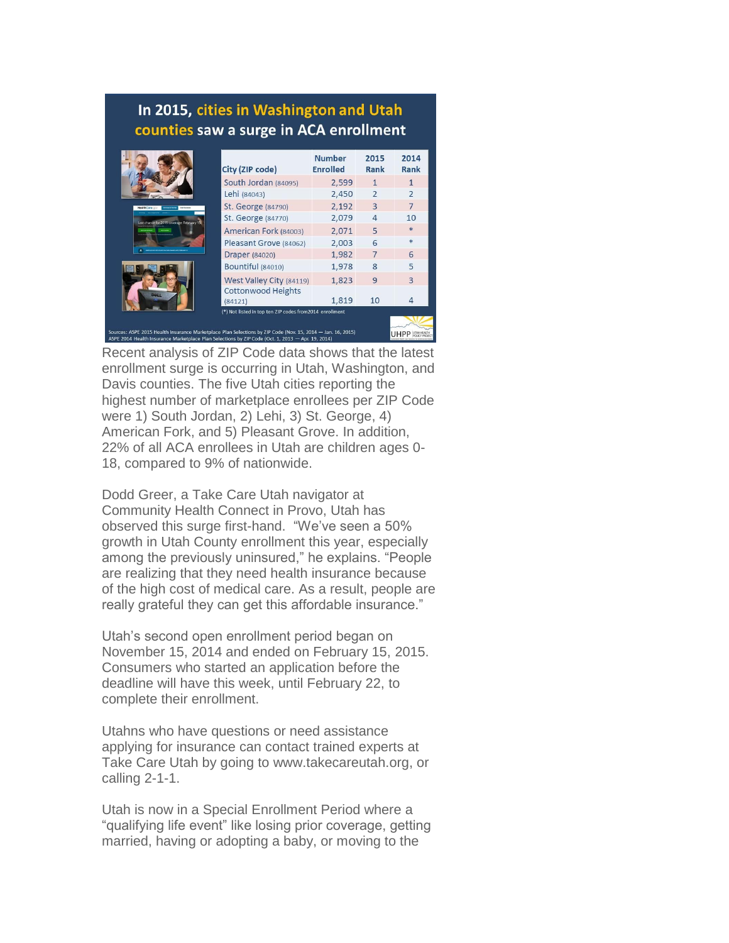## In 2015, cities in Washington and Utah counties saw a surge in ACA enrollment

|                                                                                                                                                                                                                  | City (ZIP code)                                          | <b>Number</b><br><b>Enrolled</b> | 2015<br>Rank   | 2014<br>Rank             |
|------------------------------------------------------------------------------------------------------------------------------------------------------------------------------------------------------------------|----------------------------------------------------------|----------------------------------|----------------|--------------------------|
|                                                                                                                                                                                                                  | South Jordan (84095)                                     | 2,599                            | 1              |                          |
|                                                                                                                                                                                                                  | Lehi (84043)                                             | 2,450                            | $\overline{2}$ | $\overline{\phantom{0}}$ |
| <b>lealthCare</b> con-<br>Last chance for 2015 coverage: February 15                                                                                                                                             | St. George (84790)                                       | 2.192                            | $\overline{3}$ | $\overline{7}$           |
|                                                                                                                                                                                                                  | St. George (84770)                                       | 2,079                            | 4              | 10                       |
|                                                                                                                                                                                                                  | American Fork (84003)                                    | 2.071                            | 5              | $\frac{1}{2}$            |
|                                                                                                                                                                                                                  | Pleasant Grove (84062)                                   | 2,003                            | 6              | sk.                      |
|                                                                                                                                                                                                                  | <b>Draper</b> (84020)                                    | 1,982                            | $\overline{7}$ | 6                        |
|                                                                                                                                                                                                                  | <b>Bountiful</b> (84010)                                 | 1,978                            | 8              | 5                        |
|                                                                                                                                                                                                                  | West Valley City (84119)                                 | 1,823                            | 9              | 3                        |
|                                                                                                                                                                                                                  | <b>Cottonwood Heights</b><br>(84121)                     | 1,819                            | 10             |                          |
|                                                                                                                                                                                                                  | (*) Not listed in top ten ZIP codes from 2014 enrollment |                                  |                |                          |
| Sources: ASPE 2015 Health Insurance Marketplace Plan Selections by ZIP Code (Nov. 15, 2014 - Jan. 16, 2015)<br>ASPE 2014 Health Insurance Marketplace Plan Selections by ZIP Code (Oct. 1, 2013 - Apr. 19, 2014) |                                                          |                                  |                |                          |

Recent analysis of ZIP Code data shows that the latest enrollment surge is occurring in Utah, Washington, and Davis counties. The five Utah cities reporting the highest number of marketplace enrollees per ZIP Code were 1) South Jordan, 2) Lehi, 3) St. George, 4) American Fork, and 5) Pleasant Grove. In addition, 22% of all ACA enrollees in Utah are children ages 0- 18, compared to 9% of nationwide.

Dodd Greer, a Take Care Utah navigator at Community Health Connect in Provo, Utah has observed this surge first-hand. "We've seen a 50% growth in Utah County enrollment this year, especially among the previously uninsured," he explains. "People are realizing that they need health insurance because of the high cost of medical care. As a result, people are really grateful they can get this affordable insurance."

Utah's second open enrollment period began on November 15, 2014 and ended on February 15, 2015. Consumers who started an application before the deadline will have this week, until February 22, to complete their enrollment.

Utahns who have questions or need assistance applying for insurance can contact trained experts at Take Care Utah by going to www.takecareutah.org, or calling 2-1-1.

Utah is now in a Special Enrollment Period where a "qualifying life event" like losing prior coverage, getting married, having or adopting a baby, or moving to the